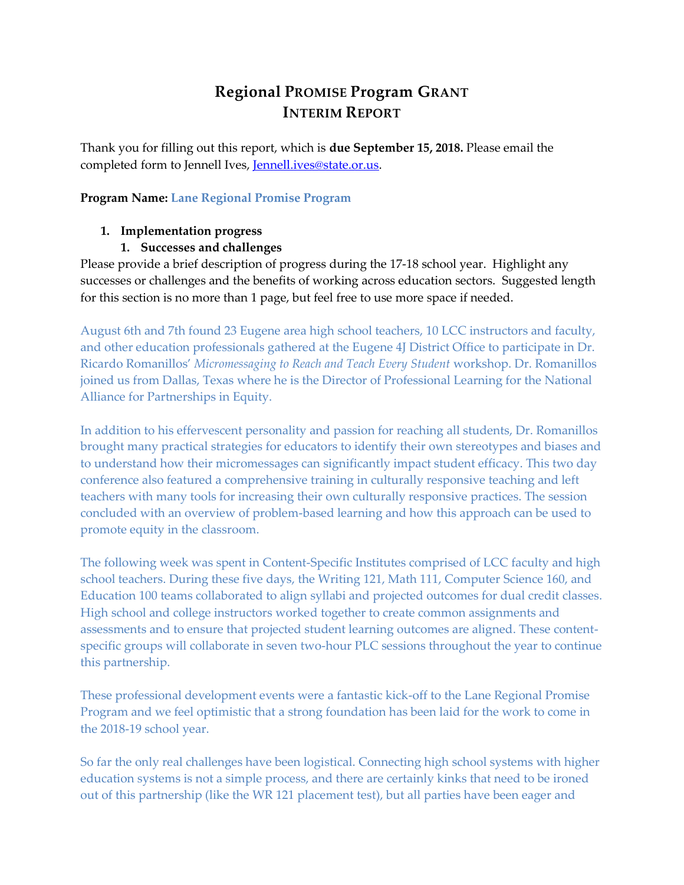# **Regional PROMISE Program GRANT INTERIM REPORT**

Thank you for filling out this report, which is **due September 15, 2018.** Please email the completed form to Jennell Ives, [Jennell.ives@state.or.us.](mailto:Jennell.ives@state.or.us)

## **Program Name: Lane Regional Promise Program**

## **1. Implementation progress**

# **1. Successes and challenges**

Please provide a brief description of progress during the 17-18 school year. Highlight any successes or challenges and the benefits of working across education sectors. Suggested length for this section is no more than 1 page, but feel free to use more space if needed.

August 6th and 7th found 23 Eugene area high school teachers, 10 LCC instructors and faculty, and other education professionals gathered at the Eugene 4J District Office to participate in Dr. Ricardo Romanillos' *Micromessaging to Reach and Teach Every Student* workshop. Dr. Romanillos joined us from Dallas, Texas where he is the Director of Professional Learning for the National Alliance for Partnerships in Equity.

In addition to his effervescent personality and passion for reaching all students, Dr. Romanillos brought many practical strategies for educators to identify their own stereotypes and biases and to understand how their micromessages can significantly impact student efficacy. This two day conference also featured a comprehensive training in culturally responsive teaching and left teachers with many tools for increasing their own culturally responsive practices. The session concluded with an overview of problem-based learning and how this approach can be used to promote equity in the classroom.

The following week was spent in Content-Specific Institutes comprised of LCC faculty and high school teachers. During these five days, the Writing 121, Math 111, Computer Science 160, and Education 100 teams collaborated to align syllabi and projected outcomes for dual credit classes. High school and college instructors worked together to create common assignments and assessments and to ensure that projected student learning outcomes are aligned. These contentspecific groups will collaborate in seven two-hour PLC sessions throughout the year to continue this partnership.

These professional development events were a fantastic kick-off to the Lane Regional Promise Program and we feel optimistic that a strong foundation has been laid for the work to come in the 2018-19 school year.

So far the only real challenges have been logistical. Connecting high school systems with higher education systems is not a simple process, and there are certainly kinks that need to be ironed out of this partnership (like the WR 121 placement test), but all parties have been eager and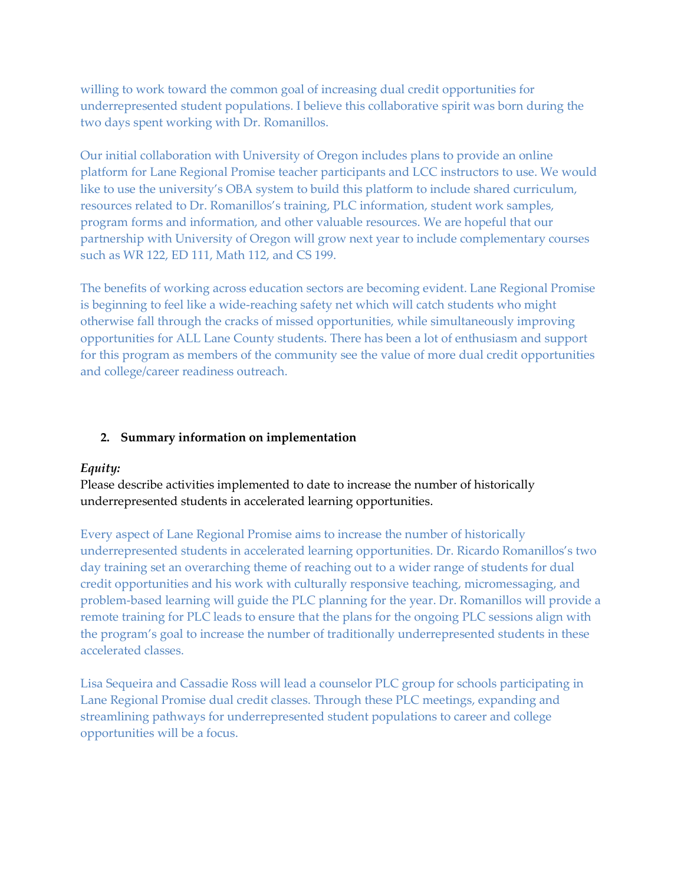willing to work toward the common goal of increasing dual credit opportunities for underrepresented student populations. I believe this collaborative spirit was born during the two days spent working with Dr. Romanillos.

Our initial collaboration with University of Oregon includes plans to provide an online platform for Lane Regional Promise teacher participants and LCC instructors to use. We would like to use the university's OBA system to build this platform to include shared curriculum, resources related to Dr. Romanillos's training, PLC information, student work samples, program forms and information, and other valuable resources. We are hopeful that our partnership with University of Oregon will grow next year to include complementary courses such as WR 122, ED 111, Math 112, and CS 199.

The benefits of working across education sectors are becoming evident. Lane Regional Promise is beginning to feel like a wide-reaching safety net which will catch students who might otherwise fall through the cracks of missed opportunities, while simultaneously improving opportunities for ALL Lane County students. There has been a lot of enthusiasm and support for this program as members of the community see the value of more dual credit opportunities and college/career readiness outreach.

#### **2. Summary information on implementation**

#### *Equity:*

Please describe activities implemented to date to increase the number of historically underrepresented students in accelerated learning opportunities.

Every aspect of Lane Regional Promise aims to increase the number of historically underrepresented students in accelerated learning opportunities. Dr. Ricardo Romanillos's two day training set an overarching theme of reaching out to a wider range of students for dual credit opportunities and his work with culturally responsive teaching, micromessaging, and problem-based learning will guide the PLC planning for the year. Dr. Romanillos will provide a remote training for PLC leads to ensure that the plans for the ongoing PLC sessions align with the program's goal to increase the number of traditionally underrepresented students in these accelerated classes.

Lisa Sequeira and Cassadie Ross will lead a counselor PLC group for schools participating in Lane Regional Promise dual credit classes. Through these PLC meetings, expanding and streamlining pathways for underrepresented student populations to career and college opportunities will be a focus.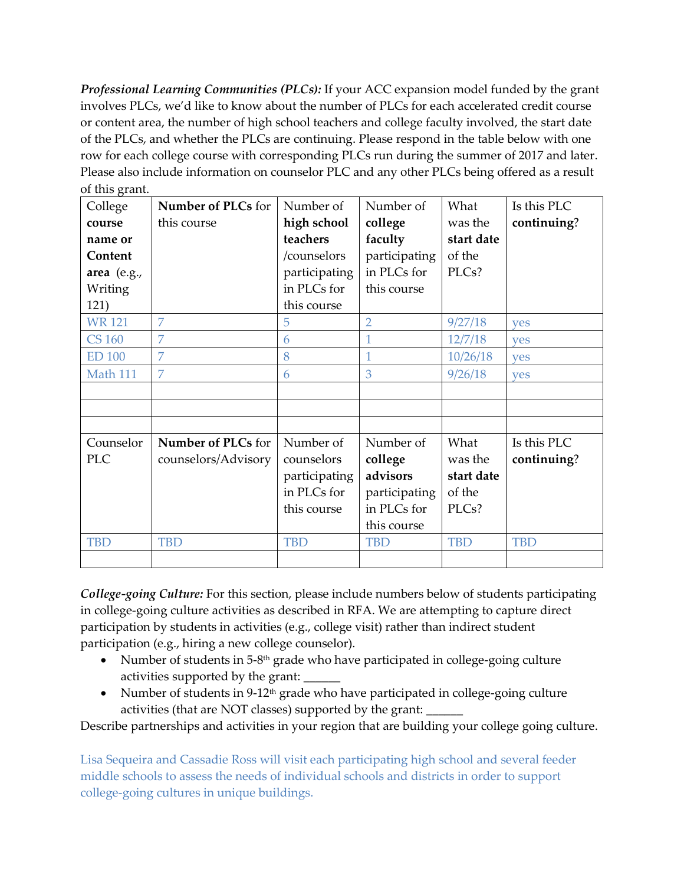*Professional Learning Communities (PLCs):* If your ACC expansion model funded by the grant involves PLCs, we'd like to know about the number of PLCs for each accelerated credit course or content area, the number of high school teachers and college faculty involved, the start date of the PLCs, and whether the PLCs are continuing. Please respond in the table below with one row for each college course with corresponding PLCs run during the summer of 2017 and later. Please also include information on counselor PLC and any other PLCs being offered as a result of this grant.

| ິດ- -- - -<br>College | Number of PLCs for  | Number of     | Number of     | What       | Is this PLC |
|-----------------------|---------------------|---------------|---------------|------------|-------------|
| course                | this course         | high school   | college       | was the    | continuing? |
| name or               |                     | teachers      | faculty       | start date |             |
| Content               |                     | /counselors   | participating | of the     |             |
| area (e.g.,           |                     | participating | in PLCs for   | PLCs?      |             |
| Writing               |                     | in PLCs for   | this course   |            |             |
| 121)                  |                     | this course   |               |            |             |
| <b>WR121</b>          | 7                   | 5             | 2             | 9/27/18    | <b>ves</b>  |
| <b>CS 160</b>         | 7                   | 6             |               | 12/7/18    | <b>ves</b>  |
| <b>ED 100</b>         | 7                   | 8             | 1             | 10/26/18   | <b>ves</b>  |
| Math 111              | 7                   | 6             | 3             | 9/26/18    | <b>ves</b>  |
|                       |                     |               |               |            |             |
|                       |                     |               |               |            |             |
|                       |                     |               |               |            |             |
| Counselor             | Number of PLCs for  | Number of     | Number of     | What       | Is this PLC |
| <b>PLC</b>            | counselors/Advisory | counselors    | college       | was the    | continuing? |
|                       |                     | participating | advisors      | start date |             |
|                       |                     | in PLCs for   | participating | of the     |             |
|                       |                     | this course   | in PLCs for   | PLCs?      |             |
|                       |                     |               | this course   |            |             |
| <b>TBD</b>            | <b>TBD</b>          | <b>TBD</b>    | <b>TBD</b>    | <b>TBD</b> | <b>TBD</b>  |
|                       |                     |               |               |            |             |

*College-going Culture:* For this section, please include numbers below of students participating in college-going culture activities as described in RFA. We are attempting to capture direct participation by students in activities (e.g., college visit) rather than indirect student participation (e.g., hiring a new college counselor).

- Number of students in 5-8<sup>th</sup> grade who have participated in college-going culture activities supported by the grant:
- Number of students in 9-12<sup>th</sup> grade who have participated in college-going culture activities (that are NOT classes) supported by the grant:

Describe partnerships and activities in your region that are building your college going culture.

Lisa Sequeira and Cassadie Ross will visit each participating high school and several feeder middle schools to assess the needs of individual schools and districts in order to support college-going cultures in unique buildings.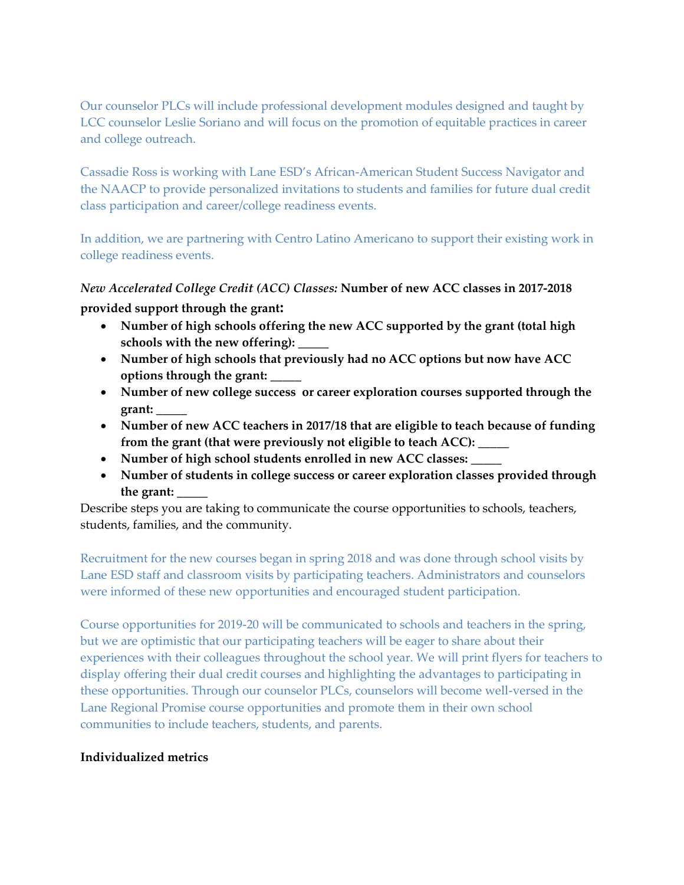Our counselor PLCs will include professional development modules designed and taught by LCC counselor Leslie Soriano and will focus on the promotion of equitable practices in career and college outreach.

Cassadie Ross is working with Lane ESD's African-American Student Success Navigator and the NAACP to provide personalized invitations to students and families for future dual credit class participation and career/college readiness events.

In addition, we are partnering with Centro Latino Americano to support their existing work in college readiness events.

# *New Accelerated College Credit (ACC) Classes:* **Number of new ACC classes in 2017-2018**

## **provided support through the grant:**

- **Number of high schools offering the new ACC supported by the grant (total high schools with the new offering): \_\_\_\_\_**
- **Number of high schools that previously had no ACC options but now have ACC options through the grant: \_\_\_\_\_**
- **Number of new college success or career exploration courses supported through the grant: \_\_\_\_\_**
- **Number of new ACC teachers in 2017/18 that are eligible to teach because of funding from the grant (that were previously not eligible to teach ACC): \_\_\_\_\_**
- **Number of high school students enrolled in new ACC classes: \_\_\_\_\_**
- **Number of students in college success or career exploration classes provided through the grant: \_\_\_\_\_**

Describe steps you are taking to communicate the course opportunities to schools, teachers, students, families, and the community.

Recruitment for the new courses began in spring 2018 and was done through school visits by Lane ESD staff and classroom visits by participating teachers. Administrators and counselors were informed of these new opportunities and encouraged student participation.

Course opportunities for 2019-20 will be communicated to schools and teachers in the spring, but we are optimistic that our participating teachers will be eager to share about their experiences with their colleagues throughout the school year. We will print flyers for teachers to display offering their dual credit courses and highlighting the advantages to participating in these opportunities. Through our counselor PLCs, counselors will become well-versed in the Lane Regional Promise course opportunities and promote them in their own school communities to include teachers, students, and parents.

#### **Individualized metrics**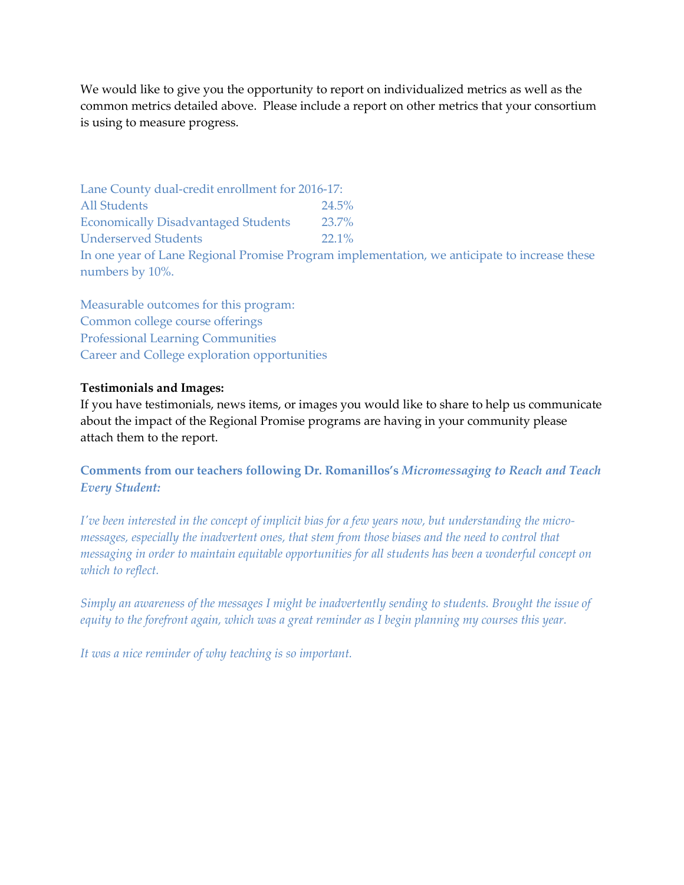We would like to give you the opportunity to report on individualized metrics as well as the common metrics detailed above. Please include a report on other metrics that your consortium is using to measure progress.

Lane County dual-credit enrollment for 2016-17: All Students 24.5% Economically Disadvantaged Students 23.7% Underserved Students 22.1% In one year of Lane Regional Promise Program implementation, we anticipate to increase these numbers by 10%.

Measurable outcomes for this program: Common college course offerings Professional Learning Communities Career and College exploration opportunities

#### **Testimonials and Images:**

If you have testimonials, news items, or images you would like to share to help us communicate about the impact of the Regional Promise programs are having in your community please attach them to the report.

**Comments from our teachers following Dr. Romanillos's** *Micromessaging to Reach and Teach Every Student:*

*I've been interested in the concept of implicit bias for a few years now, but understanding the micromessages, especially the inadvertent ones, that stem from those biases and the need to control that messaging in order to maintain equitable opportunities for all students has been a wonderful concept on which to reflect.*

*Simply an awareness of the messages I might be inadvertently sending to students. Brought the issue of equity to the forefront again, which was a great reminder as I begin planning my courses this year.*

*It was a nice reminder of why teaching is so important.*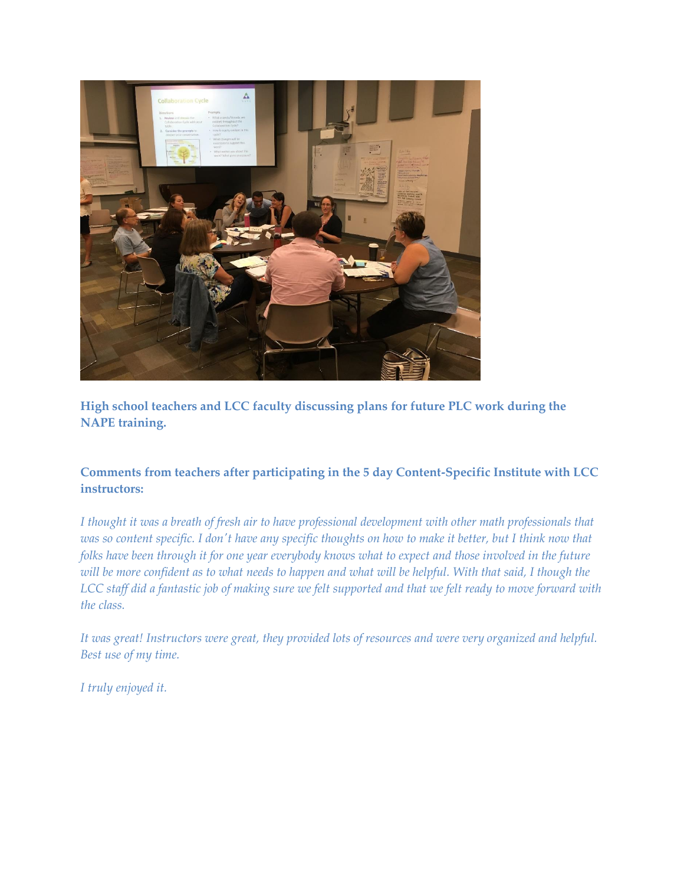

**High school teachers and LCC faculty discussing plans for future PLC work during the NAPE training.**

# **Comments from teachers after participating in the 5 day Content-Specific Institute with LCC instructors:**

*I thought it was a breath of fresh air to have professional development with other math professionals that was so content specific. I don't have any specific thoughts on how to make it better, but I think now that folks have been through it for one year everybody knows what to expect and those involved in the future will be more confident as to what needs to happen and what will be helpful. With that said, I though the LCC staff did a fantastic job of making sure we felt supported and that we felt ready to move forward with the class.*

*It was great! Instructors were great, they provided lots of resources and were very organized and helpful. Best use of my time.*

*I truly enjoyed it.*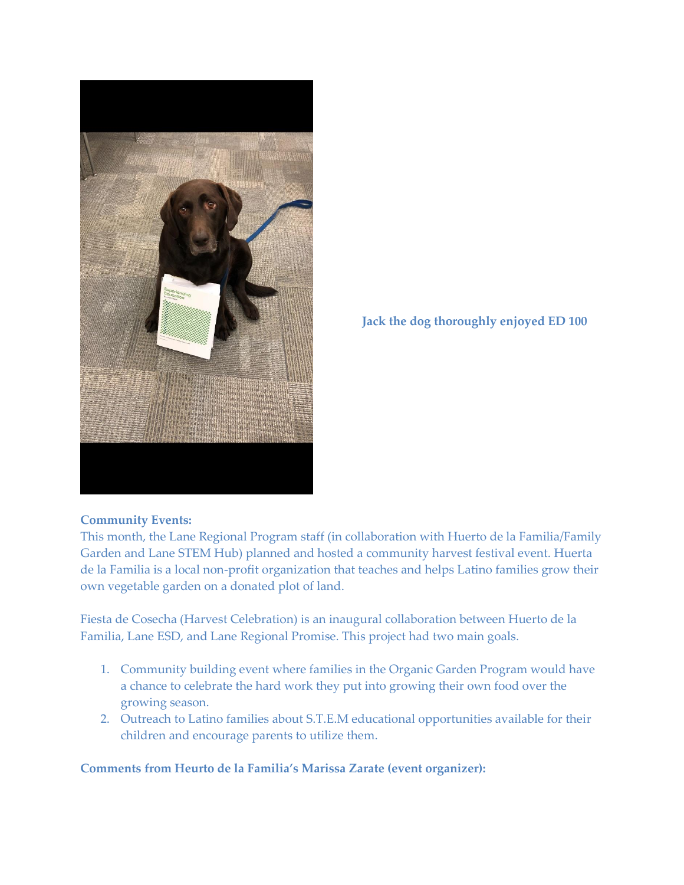

**Jack the dog thoroughly enjoyed ED 100**

# **Community Events:**

This month, the Lane Regional Program staff (in collaboration with Huerto de la Familia/Family Garden and Lane STEM Hub) planned and hosted a community harvest festival event. Huerta de la Familia is a local non-profit organization that teaches and helps Latino families grow their own vegetable garden on a donated plot of land.

Fiesta de Cosecha (Harvest Celebration) is an inaugural collaboration between Huerto de la Familia, Lane ESD, and Lane Regional Promise. This project had two main goals.

- 1. Community building event where families in the Organic Garden Program would have a chance to celebrate the hard work they put into growing their own food over the growing season.
- 2. Outreach to Latino families about S.T.E.M educational opportunities available for their children and encourage parents to utilize them.

**Comments from Heurto de la Familia's Marissa Zarate (event organizer):**